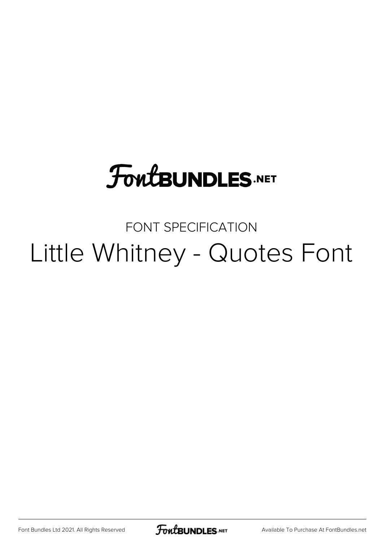#### **FoutBUNDLES.NET**

#### FONT SPECIFICATION Little Whitney - Quotes Font

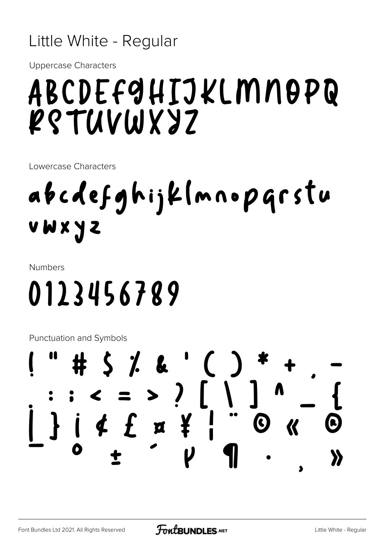#### Little White - Regular

**Uppercase Characters** 

#### ABCDEF9HIJKLMNOPQ RS LUAMAZ

Lowercase Characters

### abcdefghijklmnoparstu UWXYZ

**Numbers** 

## 0123456789

**Punctuation and Symbols** 

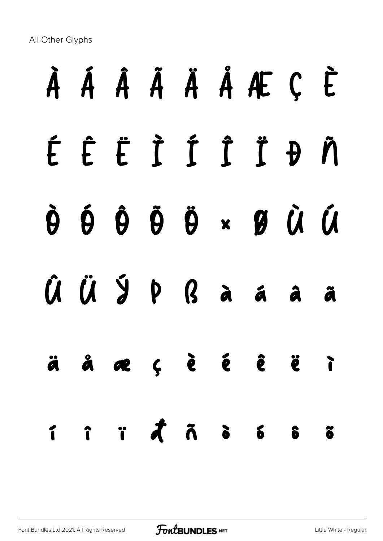All Other Glyphs

# À Á Â Ã Ä Å Æ Ç È É Ê Ë Ì Í Î Ï Ð Ñ Ò Ó Ô Õ Ö × Ø Ù Ú Û Ü Ý Þ ß à á â ã ä å æ ç è é ê ë ì í î ï ð ñ ò ó ô õ